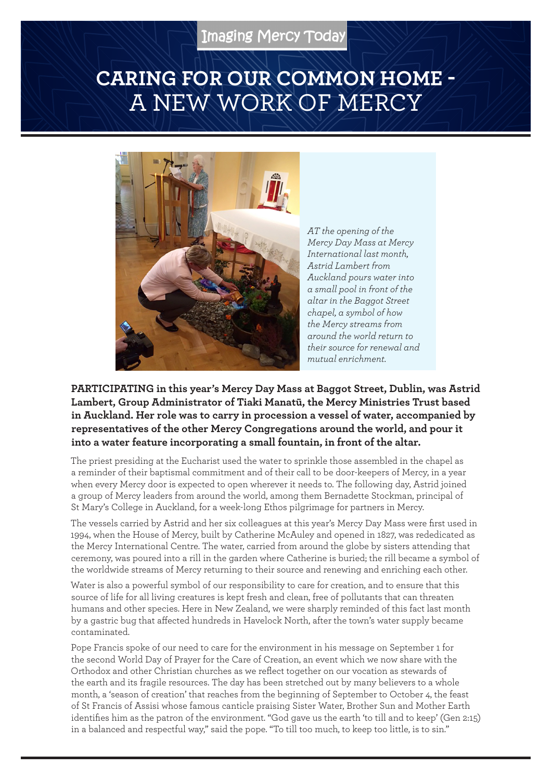## **CARING FOR OUR COMMON HOME -**  A NEW WORK OF MERCY



*AT the opening of the Mercy Day Mass at Mercy International last month, Astrid Lambert from Auckland pours water into a small pool in front of the altar in the Baggot Street chapel, a symbol of how the Mercy streams from around the world return to their source for renewal and mutual enrichment.*

**PARTICIPATING in this year's Mercy Day Mass at Baggot Street, Dublin, was Astrid Lambert, Group Administrator of Tiaki Manatū, the Mercy Ministries Trust based in Auckland. Her role was to carry in procession a vessel of water, accompanied by representatives of the other Mercy Congregations around the world, and pour it into a water feature incorporating a small fountain, in front of the altar.**

The priest presiding at the Eucharist used the water to sprinkle those assembled in the chapel as a reminder of their baptismal commitment and of their call to be door-keepers of Mercy, in a year when every Mercy door is expected to open wherever it needs to. The following day, Astrid joined a group of Mercy leaders from around the world, among them Bernadette Stockman, principal of St Mary's College in Auckland, for a week-long Ethos pilgrimage for partners in Mercy.

The vessels carried by Astrid and her six colleagues at this year's Mercy Day Mass were first used in 1994, when the House of Mercy, built by Catherine McAuley and opened in 1827, was rededicated as the Mercy International Centre. The water, carried from around the globe by sisters attending that ceremony, was poured into a rill in the garden where Catherine is buried; the rill became a symbol of the worldwide streams of Mercy returning to their source and renewing and enriching each other.

Water is also a powerful symbol of our responsibility to care for creation, and to ensure that this source of life for all living creatures is kept fresh and clean, free of pollutants that can threaten humans and other species. Here in New Zealand, we were sharply reminded of this fact last month by a gastric bug that affected hundreds in Havelock North, after the town's water supply became contaminated.

Pope Francis spoke of our need to care for the environment in his message on September 1 for the second World Day of Prayer for the Care of Creation, an event which we now share with the Orthodox and other Christian churches as we reflect together on our vocation as stewards of the earth and its fragile resources. The day has been stretched out by many believers to a whole month, a 'season of creation' that reaches from the beginning of September to October 4, the feast of St Francis of Assisi whose famous canticle praising Sister Water, Brother Sun and Mother Earth identifies him as the patron of the environment. "God gave us the earth 'to till and to keep' (Gen 2:15) in a balanced and respectful way," said the pope. "To till too much, to keep too little, is to sin."